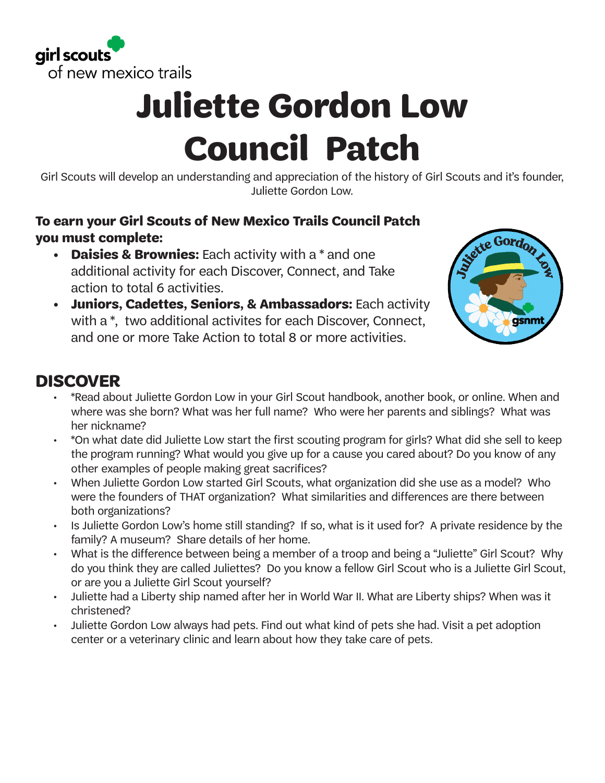

# **Juliette Gordon Low Council Patch**

Girl Scouts will develop an understanding and appreciation of the history of Girl Scouts and it's founder, Juliette Gordon Low.

#### **To earn your Girl Scouts of New Mexico Trails Council Patch you must complete:**

- **• Daisies & Brownies:** Each activity with a \* and one additional activity for each Discover, Connect, and Take action to total 6 activities.
- **• Juniors, Cadettes, Seniors, & Ambassadors:** Each activity with a \*, two additional activites for each Discover, Connect, and one or more Take Action to total 8 or more activities.



### **DISCOVER**

- \*Read about Juliette Gordon Low in your Girl Scout handbook, another book, or online. When and where was she born? What was her full name? Who were her parents and siblings? What was her nickname?
- \*On what date did Juliette Low start the first scouting program for girls? What did she sell to keep the program running? What would you give up for a cause you cared about? Do you know of any other examples of people making great sacrifices?
- When Juliette Gordon Low started Girl Scouts, what organization did she use as a model? Who were the founders of THAT organization? What similarities and differences are there between both organizations?
- Is Juliette Gordon Low's home still standing? If so, what is it used for? A private residence by the family? A museum? Share details of her home.
- What is the difference between being a member of a troop and being a "Juliette" Girl Scout? Why do you think they are called Juliettes? Do you know a fellow Girl Scout who is a Juliette Girl Scout, or are you a Juliette Girl Scout yourself?
- Juliette had a Liberty ship named after her in World War II. What are Liberty ships? When was it christened?
- Juliette Gordon Low always had pets. Find out what kind of pets she had. Visit a pet adoption center or a veterinary clinic and learn about how they take care of pets.